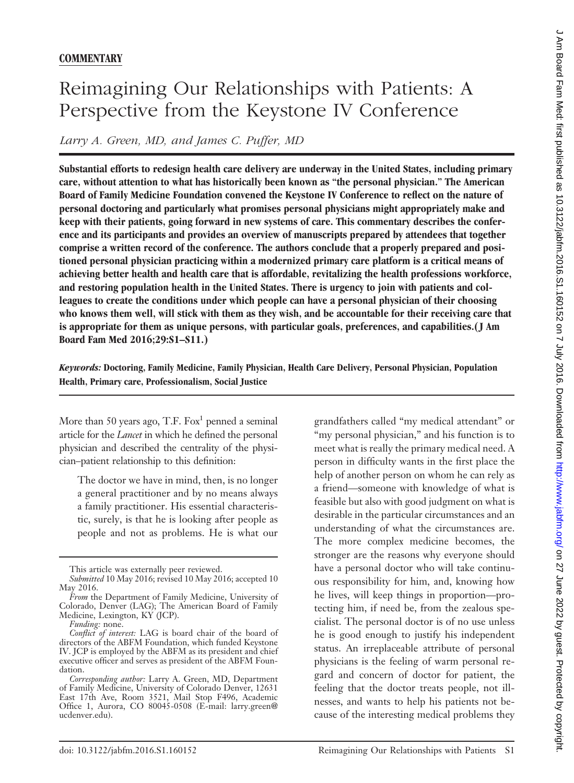# Reimagining Our Relationships with Patients: A Perspective from the Keystone IV Conference

*Larry A. Green, MD, and James C. Puffer, MD*

**Substantial efforts to redesign health care delivery are underway in the United States, including primary care, without attention to what has historically been known as "the personal physician." The American Board of Family Medicine Foundation convened the Keystone IV Conference to reflect on the nature of personal doctoring and particularly what promises personal physicians might appropriately make and keep with their patients, going forward in new systems of care. This commentary describes the conference and its participants and provides an overview of manuscripts prepared by attendees that together comprise a written record of the conference. The authors conclude that a properly prepared and positioned personal physician practicing within a modernized primary care platform is a critical means of achieving better health and health care that is affordable, revitalizing the health professions workforce, and restoring population health in the United States. There is urgency to join with patients and colleagues to create the conditions under which people can have a personal physician of their choosing who knows them well, will stick with them as they wish, and be accountable for their receiving care that is appropriate for them as unique persons, with particular goals, preferences, and capabilities.(J Am Board Fam Med 2016;29:S1–S11.)**

*Keywords:* **Doctoring, Family Medicine, Family Physician, Health Care Delivery, Personal Physician, Population Health, Primary care, Professionalism, Social Justice**

More than 50 years ago, T.F. Fox<sup>1</sup> penned a seminal article for the *Lancet* in which he defined the personal physician and described the centrality of the physician–patient relationship to this definition:

The doctor we have in mind, then, is no longer a general practitioner and by no means always a family practitioner. His essential characteristic, surely, is that he is looking after people as people and not as problems. He is what our grandfathers called "my medical attendant" or "my personal physician," and his function is to meet what is really the primary medical need. A person in difficulty wants in the first place the help of another person on whom he can rely as a friend—someone with knowledge of what is feasible but also with good judgment on what is desirable in the particular circumstances and an understanding of what the circumstances are. The more complex medicine becomes, the stronger are the reasons why everyone should have a personal doctor who will take continuous responsibility for him, and, knowing how he lives, will keep things in proportion—protecting him, if need be, from the zealous specialist. The personal doctor is of no use unless he is good enough to justify his independent status. An irreplaceable attribute of personal physicians is the feeling of warm personal regard and concern of doctor for patient, the feeling that the doctor treats people, not illnesses, and wants to help his patients not because of the interesting medical problems they

This article was externally peer reviewed.

*Submitted* 10 May 2016; revised 10 May 2016; accepted 10 May 2016.

*From* the Department of Family Medicine, University of Colorado, Denver (LAG); The American Board of Family Medicine, Lexington, KY (JCP).

*Funding:* none.

*Conflict of interest:* LAG is board chair of the board of directors of the ABFM Foundation, which funded Keystone IV. JCP is employed by the ABFM as its president and chief executive officer and serves as president of the ABFM Foundation.

*Corresponding author:* Larry A. Green, MD, Department of Family Medicine, University of Colorado Denver, 12631 East 17th Ave, Room 3521, Mail Stop F496, Academic Office 1, Aurora, CO 80045-0508 (E-mail: [larry.green@](mailto:larry.green@ucdenver.edu) [ucdenver.edu](mailto:larry.green@ucdenver.edu)).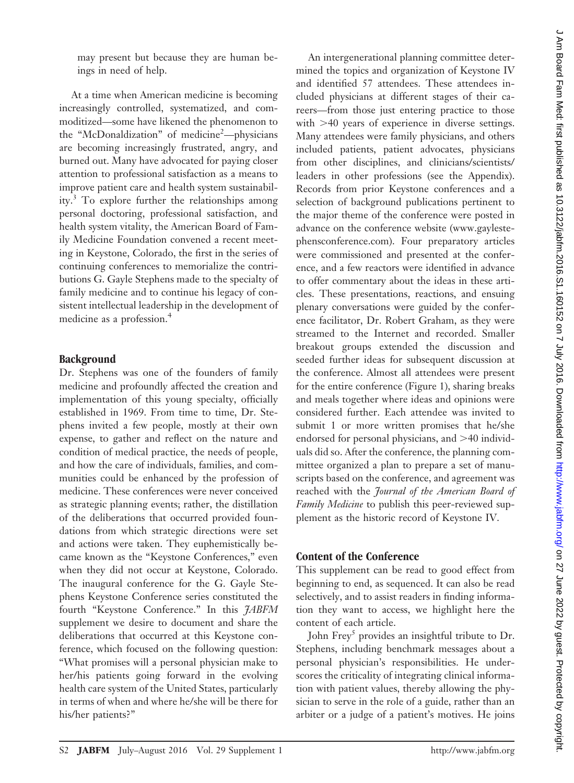may present but because they are human beings in need of help.

At a time when American medicine is becoming increasingly controlled, systematized, and commoditized—some have likened the phenomenon to the "McDonaldization" of medicine<sup>2</sup>-physicians are becoming increasingly frustrated, angry, and burned out. Many have advocated for paying closer attention to professional satisfaction as a means to improve patient care and health system sustainability.<sup>3</sup> To explore further the relationships among personal doctoring, professional satisfaction, and health system vitality, the American Board of Family Medicine Foundation convened a recent meeting in Keystone, Colorado, the first in the series of continuing conferences to memorialize the contributions G. Gayle Stephens made to the specialty of family medicine and to continue his legacy of consistent intellectual leadership in the development of medicine as a profession.<sup>4</sup>

# **Background**

Dr. Stephens was one of the founders of family medicine and profoundly affected the creation and implementation of this young specialty, officially established in 1969. From time to time, Dr. Stephens invited a few people, mostly at their own expense, to gather and reflect on the nature and condition of medical practice, the needs of people, and how the care of individuals, families, and communities could be enhanced by the profession of medicine. These conferences were never conceived as strategic planning events; rather, the distillation of the deliberations that occurred provided foundations from which strategic directions were set and actions were taken. They euphemistically became known as the "Keystone Conferences," even when they did not occur at Keystone, Colorado. The inaugural conference for the G. Gayle Stephens Keystone Conference series constituted the fourth "Keystone Conference." In this *JABFM* supplement we desire to document and share the deliberations that occurred at this Keystone conference, which focused on the following question: "What promises will a personal physician make to her/his patients going forward in the evolving health care system of the United States, particularly in terms of when and where he/she will be there for his/her patients?"

An intergenerational planning committee determined the topics and organization of Keystone IV and identified 57 attendees. These attendees included physicians at different stages of their careers—from those just entering practice to those with  $>40$  years of experience in diverse settings. Many attendees were family physicians, and others included patients, patient advocates, physicians from other disciplines, and clinicians/scientists/ leaders in other professions (see the Appendix). Records from prior Keystone conferences and a selection of background publications pertinent to the major theme of the conference were posted in advance on the conference website [\(www.gayleste](www.gaylestephensconference.com)[phensconference.com\)](www.gaylestephensconference.com). Four preparatory articles were commissioned and presented at the conference, and a few reactors were identified in advance to offer commentary about the ideas in these articles. These presentations, reactions, and ensuing plenary conversations were guided by the conference facilitator, Dr. Robert Graham, as they were streamed to the Internet and recorded. Smaller breakout groups extended the discussion and seeded further ideas for subsequent discussion at the conference. Almost all attendees were present for the entire conference (Figure 1), sharing breaks and meals together where ideas and opinions were considered further. Each attendee was invited to submit 1 or more written promises that he/she endorsed for personal physicians, and  $>40$  individuals did so. After the conference, the planning committee organized a plan to prepare a set of manuscripts based on the conference, and agreement was reached with the *Journal of the American Board of Family Medicine* to publish this peer-reviewed supplement as the historic record of Keystone IV.

# **Content of the Conference**

This supplement can be read to good effect from beginning to end, as sequenced. It can also be read selectively, and to assist readers in finding information they want to access, we highlight here the content of each article.

John Frey<sup>5</sup> provides an insightful tribute to Dr. Stephens, including benchmark messages about a personal physician's responsibilities. He underscores the criticality of integrating clinical information with patient values, thereby allowing the physician to serve in the role of a guide, rather than an arbiter or a judge of a patient's motives. He joins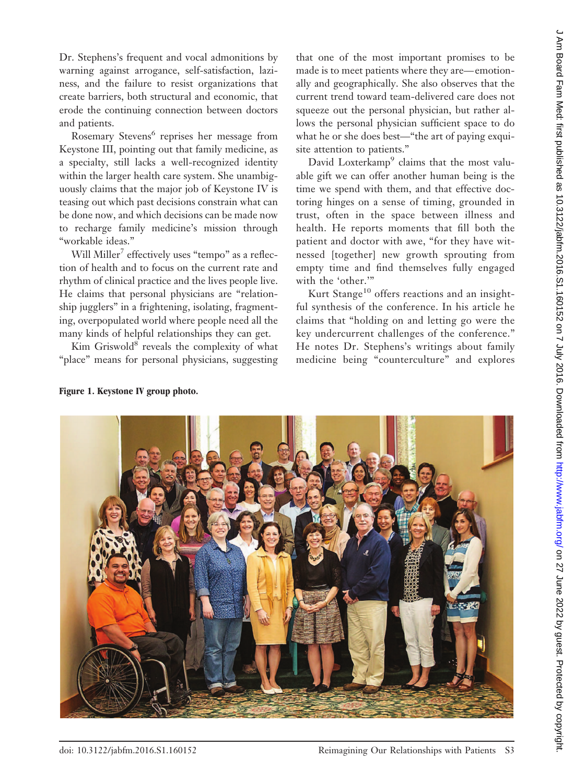Dr. Stephens's frequent and vocal admonitions by warning against arrogance, self-satisfaction, laziness, and the failure to resist organizations that create barriers, both structural and economic, that erode the continuing connection between doctors and patients.

Rosemary Stevens<sup>6</sup> reprises her message from Keystone III, pointing out that family medicine, as a specialty, still lacks a well-recognized identity within the larger health care system. She unambiguously claims that the major job of Keystone IV is teasing out which past decisions constrain what can be done now, and which decisions can be made now to recharge family medicine's mission through "workable ideas."

Will Miller<sup>7</sup> effectively uses "tempo" as a reflection of health and to focus on the current rate and rhythm of clinical practice and the lives people live. He claims that personal physicians are "relationship jugglers" in a frightening, isolating, fragmenting, overpopulated world where people need all the many kinds of helpful relationships they can get.

Kim Griswold $8$  reveals the complexity of what "place" means for personal physicians, suggesting

that one of the most important promises to be made is to meet patients where they are— emotionally and geographically. She also observes that the current trend toward team-delivered care does not squeeze out the personal physician, but rather allows the personal physician sufficient space to do what he or she does best—"the art of paying exquisite attention to patients."

David Loxterkamp<sup>9</sup> claims that the most valuable gift we can offer another human being is the time we spend with them, and that effective doctoring hinges on a sense of timing, grounded in trust, often in the space between illness and health. He reports moments that fill both the patient and doctor with awe, "for they have witnessed [together] new growth sprouting from empty time and find themselves fully engaged with the 'other.'"

Kurt Stange<sup>10</sup> offers reactions and an insightful synthesis of the conference. In his article he claims that "holding on and letting go were the key undercurrent challenges of the conference." He notes Dr. Stephens's writings about family medicine being "counterculture" and explores



**Figure 1. Keystone IV group photo.**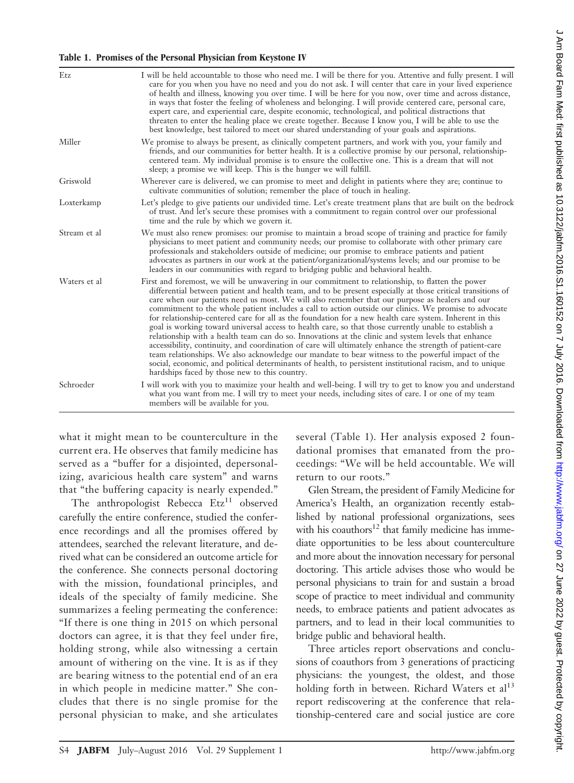### **Table 1. Promises of the Personal Physician from Keystone IV**

| Etz          | I will be held accountable to those who need me. I will be there for you. Attentive and fully present. I will<br>care for you when you have no need and you do not ask. I will center that care in your lived experience<br>of health and illness, knowing you over time. I will be here for you now, over time and across distance,<br>in ways that foster the feeling of wholeness and belonging. I will provide centered care, personal care,<br>expert care, and experiential care, despite economic, technological, and political distractions that<br>threaten to enter the healing place we create together. Because I know you, I will be able to use the<br>best knowledge, best tailored to meet our shared understanding of your goals and aspirations.                                                                                                                                                                                                                                                                                                                                                                    |
|--------------|---------------------------------------------------------------------------------------------------------------------------------------------------------------------------------------------------------------------------------------------------------------------------------------------------------------------------------------------------------------------------------------------------------------------------------------------------------------------------------------------------------------------------------------------------------------------------------------------------------------------------------------------------------------------------------------------------------------------------------------------------------------------------------------------------------------------------------------------------------------------------------------------------------------------------------------------------------------------------------------------------------------------------------------------------------------------------------------------------------------------------------------|
| Miller       | We promise to always be present, as clinically competent partners, and work with you, your family and<br>friends, and our communities for better health. It is a collective promise by our personal, relationship-<br>centered team. My individual promise is to ensure the collective one. This is a dream that will not<br>sleep; a promise we will keep. This is the hunger we will fulfill.                                                                                                                                                                                                                                                                                                                                                                                                                                                                                                                                                                                                                                                                                                                                       |
| Griswold     | Wherever care is delivered, we can promise to meet and delight in patients where they are; continue to<br>cultivate communities of solution; remember the place of touch in healing.                                                                                                                                                                                                                                                                                                                                                                                                                                                                                                                                                                                                                                                                                                                                                                                                                                                                                                                                                  |
| Loxterkamp   | Let's pledge to give patients our undivided time. Let's create treatment plans that are built on the bedrock<br>of trust. And let's secure these promises with a commitment to regain control over our professional<br>time and the rule by which we govern it.                                                                                                                                                                                                                                                                                                                                                                                                                                                                                                                                                                                                                                                                                                                                                                                                                                                                       |
| Stream et al | We must also renew promises: our promise to maintain a broad scope of training and practice for family<br>physicians to meet patient and community needs; our promise to collaborate with other primary care<br>professionals and stakeholders outside of medicine; our promise to embrace patients and patient<br>advocates as partners in our work at the patient/organizational/systems levels; and our promise to be<br>leaders in our communities with regard to bridging public and behavioral health.                                                                                                                                                                                                                                                                                                                                                                                                                                                                                                                                                                                                                          |
| Waters et al | First and foremost, we will be unwavering in our commitment to relationship, to flatten the power<br>differential between patient and health team, and to be present especially at those critical transitions of<br>care when our patients need us most. We will also remember that our purpose as healers and our<br>commitment to the whole patient includes a call to action outside our clinics. We promise to advocate<br>for relationship-centered care for all as the foundation for a new health care system. Inherent in this<br>goal is working toward universal access to health care, so that those currently unable to establish a<br>relationship with a health team can do so. Innovations at the clinic and system levels that enhance<br>accessibility, continuity, and coordination of care will ultimately enhance the strength of patient-care<br>team relationships. We also acknowledge our mandate to bear witness to the powerful impact of the<br>social, economic, and political determinants of health, to persistent institutional racism, and to unique<br>hardships faced by those new to this country. |
| Schroeder    | I will work with you to maximize your health and well-being. I will try to get to know you and understand<br>what you want from me. I will try to meet your needs, including sites of care. I or one of my team<br>members will be available for you.                                                                                                                                                                                                                                                                                                                                                                                                                                                                                                                                                                                                                                                                                                                                                                                                                                                                                 |

what it might mean to be counterculture in the current era. He observes that family medicine has served as a "buffer for a disjointed, depersonalizing, avaricious health care system" and warns that "the buffering capacity is nearly expended."

The anthropologist Rebecca Etz<sup>11</sup> observed carefully the entire conference, studied the conference recordings and all the promises offered by attendees, searched the relevant literature, and derived what can be considered an outcome article for the conference. She connects personal doctoring with the mission, foundational principles, and ideals of the specialty of family medicine. She summarizes a feeling permeating the conference: "If there is one thing in 2015 on which personal doctors can agree, it is that they feel under fire, holding strong, while also witnessing a certain amount of withering on the vine. It is as if they are bearing witness to the potential end of an era in which people in medicine matter." She concludes that there is no single promise for the personal physician to make, and she articulates

several (Table 1). Her analysis exposed 2 foundational promises that emanated from the proceedings: "We will be held accountable. We will return to our roots."

Glen Stream, the president of Family Medicine for America's Health, an organization recently established by national professional organizations, sees with his coauthors $12$  that family medicine has immediate opportunities to be less about counterculture and more about the innovation necessary for personal doctoring. This article advises those who would be personal physicians to train for and sustain a broad scope of practice to meet individual and community needs, to embrace patients and patient advocates as partners, and to lead in their local communities to bridge public and behavioral health.

Three articles report observations and conclusions of coauthors from 3 generations of practicing physicians: the youngest, the oldest, and those holding forth in between. Richard Waters et  $al<sup>13</sup>$ report rediscovering at the conference that relationship-centered care and social justice are core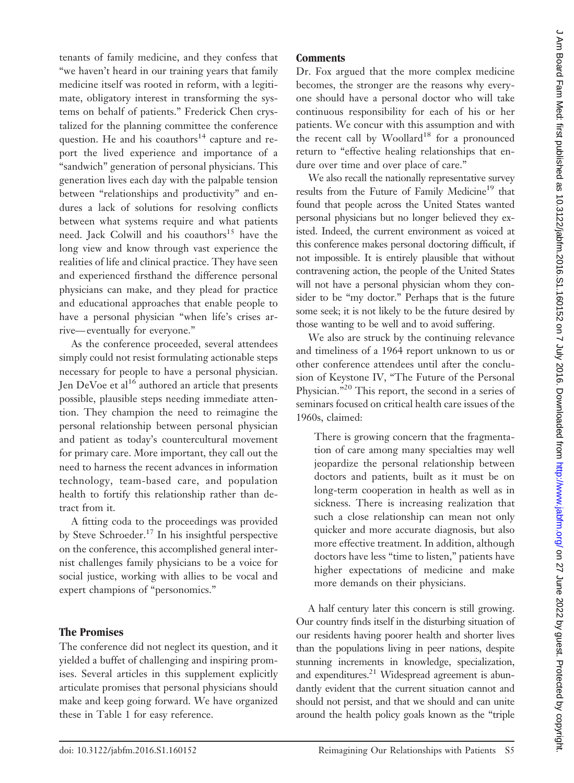tenants of family medicine, and they confess that "we haven't heard in our training years that family medicine itself was rooted in reform, with a legitimate, obligatory interest in transforming the systems on behalf of patients." Frederick Chen crystalized for the planning committee the conference question. He and his coauthors<sup>14</sup> capture and report the lived experience and importance of a "sandwich" generation of personal physicians. This generation lives each day with the palpable tension between "relationships and productivity" and endures a lack of solutions for resolving conflicts between what systems require and what patients need. Jack Colwill and his coauthors<sup>15</sup> have the long view and know through vast experience the realities of life and clinical practice. They have seen and experienced firsthand the difference personal physicians can make, and they plead for practice and educational approaches that enable people to have a personal physician "when life's crises arrive— eventually for everyone."

As the conference proceeded, several attendees simply could not resist formulating actionable steps necessary for people to have a personal physician. Jen DeVoe et al<sup>16</sup> authored an article that presents possible, plausible steps needing immediate attention. They champion the need to reimagine the personal relationship between personal physician and patient as today's countercultural movement for primary care. More important, they call out the need to harness the recent advances in information technology, team-based care, and population health to fortify this relationship rather than detract from it.

A fitting coda to the proceedings was provided by Steve Schroeder.<sup>17</sup> In his insightful perspective on the conference, this accomplished general internist challenges family physicians to be a voice for social justice, working with allies to be vocal and expert champions of "personomics."

# **The Promises**

The conference did not neglect its question, and it yielded a buffet of challenging and inspiring promises. Several articles in this supplement explicitly articulate promises that personal physicians should make and keep going forward. We have organized these in Table 1 for easy reference.

# **Comments**

Dr. Fox argued that the more complex medicine becomes, the stronger are the reasons why everyone should have a personal doctor who will take continuous responsibility for each of his or her patients. We concur with this assumption and with the recent call by Woollard<sup>18</sup> for a pronounced return to "effective healing relationships that endure over time and over place of care."

We also recall the nationally representative survey results from the Future of Family Medicine<sup>19</sup> that found that people across the United States wanted personal physicians but no longer believed they existed. Indeed, the current environment as voiced at this conference makes personal doctoring difficult, if not impossible. It is entirely plausible that without contravening action, the people of the United States will not have a personal physician whom they consider to be "my doctor." Perhaps that is the future some seek; it is not likely to be the future desired by those wanting to be well and to avoid suffering.

We also are struck by the continuing relevance and timeliness of a 1964 report unknown to us or other conference attendees until after the conclusion of Keystone IV, "The Future of the Personal Physician."20 This report, the second in a series of seminars focused on critical health care issues of the 1960s, claimed:

There is growing concern that the fragmentation of care among many specialties may well jeopardize the personal relationship between doctors and patients, built as it must be on long-term cooperation in health as well as in sickness. There is increasing realization that such a close relationship can mean not only quicker and more accurate diagnosis, but also more effective treatment. In addition, although doctors have less "time to listen," patients have higher expectations of medicine and make more demands on their physicians.

A half century later this concern is still growing. Our country finds itself in the disturbing situation of our residents having poorer health and shorter lives than the populations living in peer nations, despite stunning increments in knowledge, specialization, and expenditures. $21$  Widespread agreement is abundantly evident that the current situation cannot and should not persist, and that we should and can unite around the health policy goals known as the "triple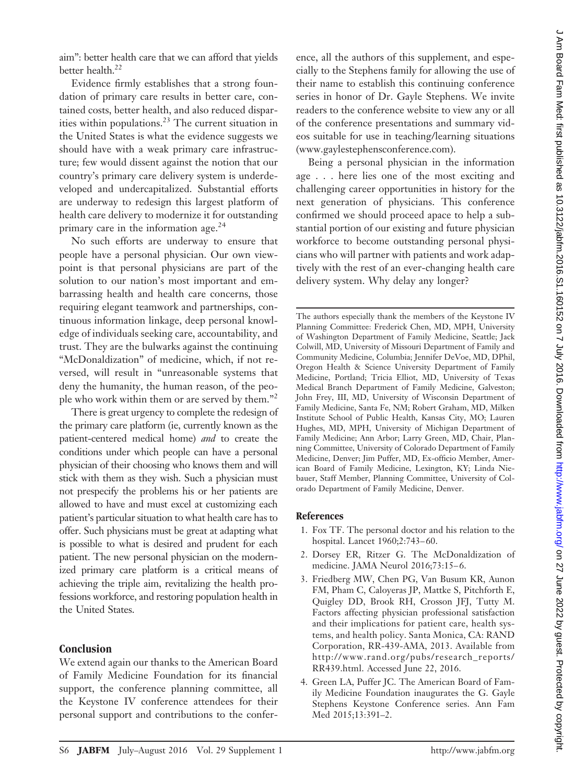aim": better health care that we can afford that yields better health. $^{22}$ 

Evidence firmly establishes that a strong foundation of primary care results in better care, contained costs, better health, and also reduced disparities within populations.<sup>23</sup> The current situation in the United States is what the evidence suggests we should have with a weak primary care infrastructure; few would dissent against the notion that our country's primary care delivery system is underdeveloped and undercapitalized. Substantial efforts are underway to redesign this largest platform of health care delivery to modernize it for outstanding primary care in the information age.<sup>24</sup>

No such efforts are underway to ensure that people have a personal physician. Our own viewpoint is that personal physicians are part of the solution to our nation's most important and embarrassing health and health care concerns, those requiring elegant teamwork and partnerships, continuous information linkage, deep personal knowledge of individuals seeking care, accountability, and trust. They are the bulwarks against the continuing "McDonaldization" of medicine, which, if not reversed, will result in "unreasonable systems that deny the humanity, the human reason, of the people who work within them or are served by them."2

There is great urgency to complete the redesign of the primary care platform (ie, currently known as the patient-centered medical home) *and* to create the conditions under which people can have a personal physician of their choosing who knows them and will stick with them as they wish. Such a physician must not prespecify the problems his or her patients are allowed to have and must excel at customizing each patient's particular situation to what health care has to offer. Such physicians must be great at adapting what is possible to what is desired and prudent for each patient. The new personal physician on the modernized primary care platform is a critical means of achieving the triple aim, revitalizing the health professions workforce, and restoring population health in the United States.

#### **Conclusion**

We extend again our thanks to the American Board of Family Medicine Foundation for its financial support, the conference planning committee, all the Keystone IV conference attendees for their personal support and contributions to the conference, all the authors of this supplement, and especially to the Stephens family for allowing the use of their name to establish this continuing conference series in honor of Dr. Gayle Stephens. We invite readers to the conference website to view any or all of the conference presentations and summary videos suitable for use in teaching/learning situations [\(www.gaylestephensconference.com\)](www.gaylestephensconference.com).

Being a personal physician in the information age . . . here lies one of the most exciting and challenging career opportunities in history for the next generation of physicians. This conference confirmed we should proceed apace to help a substantial portion of our existing and future physician workforce to become outstanding personal physicians who will partner with patients and work adaptively with the rest of an ever-changing health care delivery system. Why delay any longer?

The authors especially thank the members of the Keystone IV Planning Committee: Frederick Chen, MD, MPH, University of Washington Department of Family Medicine, Seattle; Jack Colwill, MD, University of Missouri Department of Family and Community Medicine, Columbia; Jennifer DeVoe, MD, DPhil, Oregon Health & Science University Department of Family Medicine, Portland; Tricia Elliot, MD, University of Texas Medical Branch Department of Family Medicine, Galveston; John Frey, III, MD, University of Wisconsin Department of Family Medicine, Santa Fe, NM; Robert Graham, MD, Milken Institute School of Public Health, Kansas City, MO; Lauren Hughes, MD, MPH, University of Michigan Department of Family Medicine; Ann Arbor; Larry Green, MD, Chair, Planning Committee, University of Colorado Department of Family Medicine, Denver; Jim Puffer, MD, Ex-officio Member, American Board of Family Medicine, Lexington, KY; Linda Niebauer, Staff Member, Planning Committee, University of Colorado Department of Family Medicine, Denver.

#### **References**

- 1. Fox TF. The personal doctor and his relation to the hospital. Lancet 1960;2:743– 60.
- 2. Dorsey ER, Ritzer G. The McDonaldization of medicine. JAMA Neurol 2016;73:15-6.
- 3. Friedberg MW, Chen PG, Van Busum KR, Aunon FM, Pham C, Caloyeras JP, Mattke S, Pitchforth E, Quigley DD, Brook RH, Crosson JFJ, Tutty M. Factors affecting physician professional satisfaction and their implications for patient care, health systems, and health policy. Santa Monica, CA: RAND Corporation, RR-439-AMA, 2013. Available from [http://www.rand.org/pubs/research\\_reports/](http://www.rand.org/pubs/research_reports/RR439.html) [RR439.html.](http://www.rand.org/pubs/research_reports/RR439.html) Accessed June 22, 2016.
- 4. Green LA, Puffer JC. The American Board of Family Medicine Foundation inaugurates the G. Gayle Stephens Keystone Conference series. Ann Fam Med 2015;13:391–2.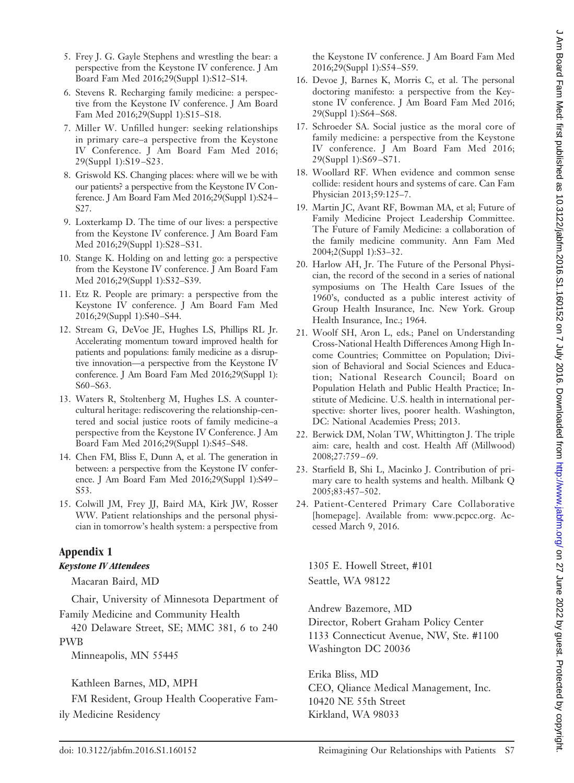- 5. Frey J. G. Gayle Stephens and wrestling the bear: a perspective from the Keystone IV conference. J Am Board Fam Med 2016;29(Suppl 1):S12–S14.
- 6. Stevens R. Recharging family medicine: a perspective from the Keystone IV conference. J Am Board Fam Med 2016;29(Suppl 1):S15–S18.
- 7. Miller W. Unfilled hunger: seeking relationships in primary care–a perspective from the Keystone IV Conference. J Am Board Fam Med 2016; 29(Suppl 1):S19 –S23.
- 8. Griswold KS. Changing places: where will we be with our patients? a perspective from the Keystone IV Conference. J Am Board Fam Med 2016;29(Suppl 1):S24 – S27.
- 9. Loxterkamp D. The time of our lives: a perspective from the Keystone IV conference. J Am Board Fam Med 2016;29(Suppl 1):S28 –S31.
- 10. Stange K. Holding on and letting go: a perspective from the Keystone IV conference. J Am Board Fam Med 2016;29(Suppl 1):S32–S39.
- 11. Etz R. People are primary: a perspective from the Keystone IV conference. J Am Board Fam Med 2016;29(Suppl 1):S40 –S44.
- 12. Stream G, DeVoe JE, Hughes LS, Phillips RL Jr. Accelerating momentum toward improved health for patients and populations: family medicine as a disruptive innovation—a perspective from the Keystone IV conference. J Am Board Fam Med 2016;29(Suppl 1): S60-S63.
- 13. Waters R, Stoltenberg M, Hughes LS. A countercultural heritage: rediscovering the relationship-centered and social justice roots of family medicine–a perspective from the Keystone IV Conference. J Am Board Fam Med 2016;29(Suppl 1):S45–S48.
- 14. Chen FM, Bliss E, Dunn A, et al. The generation in between: a perspective from the Keystone IV conference. J Am Board Fam Med 2016;29(Suppl 1):S49 – S53.
- 15. Colwill JM, Frey JJ, Baird MA, Kirk JW, Rosser WW. Patient relationships and the personal physician in tomorrow's health system: a perspective from

# **Appendix 1**

# *Keystone IV Attendees*

Macaran Baird, MD

Chair, University of Minnesota Department of Family Medicine and Community Health

420 Delaware Street, SE; MMC 381, 6 to 240 PWB

Minneapolis, MN 55445

Kathleen Barnes, MD, MPH

FM Resident, Group Health Cooperative Family Medicine Residency

the Keystone IV conference. J Am Board Fam Med 2016;29(Suppl 1):S54 –S59.

- 16. Devoe J, Barnes K, Morris C, et al. The personal doctoring manifesto: a perspective from the Keystone IV conference. J Am Board Fam Med 2016; 29(Suppl 1):S64 –S68.
- 17. Schroeder SA. Social justice as the moral core of family medicine: a perspective from the Keystone IV conference. J Am Board Fam Med 2016; 29(Suppl 1):S69 –S71.
- 18. Woollard RF. When evidence and common sense collide: resident hours and systems of care. Can Fam Physician 2013;59:125–7.
- 19. Martin JC, Avant RF, Bowman MA, et al; Future of Family Medicine Project Leadership Committee. The Future of Family Medicine: a collaboration of the family medicine community. Ann Fam Med 2004;2(Suppl 1):S3–32.
- 20. Harlow AH, Jr. The Future of the Personal Physician, the record of the second in a series of national symposiums on The Health Care Issues of the 1960's, conducted as a public interest activity of Group Health Insurance, Inc. New York. Group Health Insurance, Inc.; 1964.
- 21. Woolf SH, Aron L, eds.; Panel on Understanding Cross-National Health Differences Among High Income Countries; Committee on Population; Division of Behavioral and Social Sciences and Education; National Research Council; Board on Population Helath and Public Health Practice; Institute of Medicine. U.S. health in international perspective: shorter lives, poorer health. Washington, DC: National Academies Press; 2013.
- 22. Berwick DM, Nolan TW, Whittington J. The triple aim: care, health and cost. Health Aff (Millwood) 2008;27:759 – 69.
- 23. Starfield B, Shi L, Macinko J. Contribution of primary care to health systems and health. Milbank Q 2005;83:457–502.
- 24. Patient-Centered Primary Care Collaborative [homepage]. Available from: [www.pcpcc.org.](www.pcpcc.org) Accessed March 9, 2016.

1305 E. Howell Street, #101 Seattle, WA 98122

Andrew Bazemore, MD Director, Robert Graham Policy Center 1133 Connecticut Avenue, NW, Ste. #1100 Washington DC 20036

Erika Bliss, MD CEO, Qliance Medical Management, Inc. 10420 NE 55th Street Kirkland, WA 98033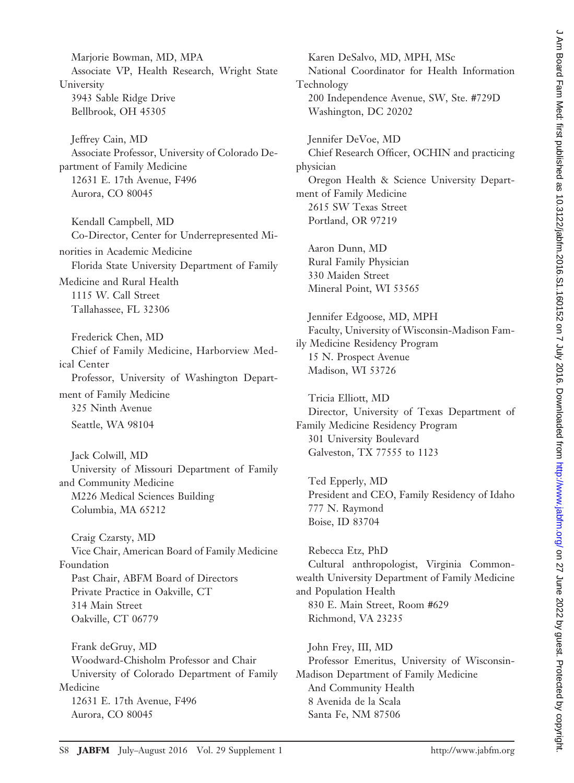Marjorie Bowman, MD, MPA Associate VP, Health Research, Wright State University 3943 Sable Ridge Drive Bellbrook, OH 45305

Jeffrey Cain, MD Associate Professor, University of Colorado Department of Family Medicine 12631 E. 17th Avenue, F496 Aurora, CO 80045

Kendall Campbell, MD Co-Director, Center for Underrepresented Minorities in Academic Medicine

Florida State University Department of Family

Medicine and Rural Health 1115 W. Call Street Tallahassee, FL 32306

Frederick Chen, MD Chief of Family Medicine, Harborview Medical Center Professor, University of Washington Department of Family Medicine 325 Ninth Avenue Seattle, WA 98104

Jack Colwill, MD University of Missouri Department of Family and Community Medicine M226 Medical Sciences Building Columbia, MA 65212

Craig Czarsty, MD Vice Chair, American Board of Family Medicine Foundation Past Chair, ABFM Board of Directors Private Practice in Oakville, CT 314 Main Street Oakville, CT 06779

Frank deGruy, MD Woodward-Chisholm Professor and Chair University of Colorado Department of Family Medicine 12631 E. 17th Avenue, F496 Aurora, CO 80045

Karen DeSalvo, MD, MPH, MSc National Coordinator for Health Information Technology 200 Independence Avenue, SW, Ste. #729D Washington, DC 20202

Jennifer DeVoe, MD Chief Research Officer, OCHIN and practicing physician Oregon Health & Science University Department of Family Medicine 2615 SW Texas Street Portland, OR 97219

Aaron Dunn, MD Rural Family Physician 330 Maiden Street Mineral Point, WI 53565

Jennifer Edgoose, MD, MPH Faculty, University of Wisconsin-Madison Family Medicine Residency Program 15 N. Prospect Avenue Madison, WI 53726

Tricia Elliott, MD Director, University of Texas Department of Family Medicine Residency Program 301 University Boulevard Galveston, TX 77555 to 1123

Ted Epperly, MD President and CEO, Family Residency of Idaho 777 N. Raymond Boise, ID 83704

Rebecca Etz, PhD Cultural anthropologist, Virginia Commonwealth University Department of Family Medicine and Population Health 830 E. Main Street, Room #629 Richmond, VA 23235

John Frey, III, MD Professor Emeritus, University of Wisconsin-Madison Department of Family Medicine And Community Health 8 Avenida de la Scala Santa Fe, NM 87506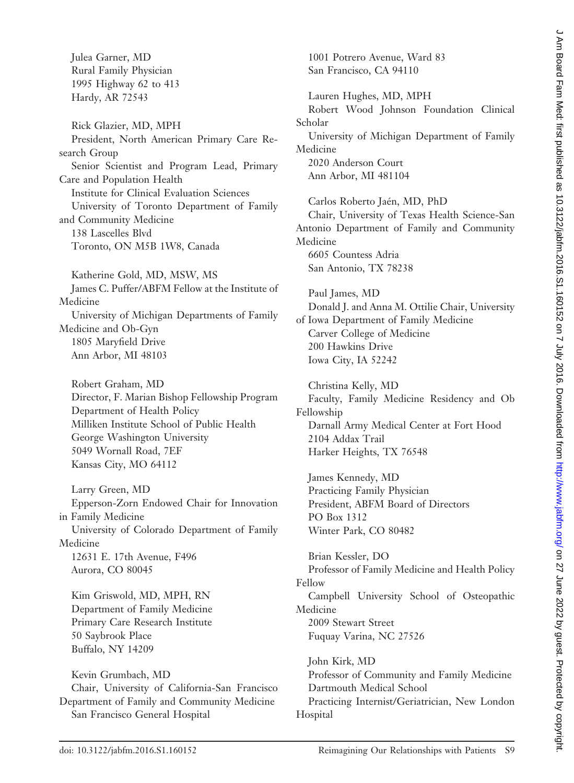Julea Garner, MD Rural Family Physician 1995 Highway 62 to 413 Hardy, AR 72543

Rick Glazier, MD, MPH President, North American Primary Care Research Group Senior Scientist and Program Lead, Primary Care and Population Health Institute for Clinical Evaluation Sciences University of Toronto Department of Family and Community Medicine 138 Lascelles Blvd Toronto, ON M5B 1W8, Canada

Katherine Gold, MD, MSW, MS James C. Puffer/ABFM Fellow at the Institute of Medicine University of Michigan Departments of Family Medicine and Ob-Gyn 1805 Maryfield Drive Ann Arbor, MI 48103

Robert Graham, MD Director, F. Marian Bishop Fellowship Program Department of Health Policy Milliken Institute School of Public Health George Washington University 5049 Wornall Road, 7EF Kansas City, MO 64112

Larry Green, MD Epperson-Zorn Endowed Chair for Innovation in Family Medicine University of Colorado Department of Family Medicine 12631 E. 17th Avenue, F496 Aurora, CO 80045

Kim Griswold, MD, MPH, RN Department of Family Medicine Primary Care Research Institute 50 Saybrook Place Buffalo, NY 14209

Kevin Grumbach, MD Chair, University of California-San Francisco Department of Family and Community Medicine San Francisco General Hospital

1001 Potrero Avenue, Ward 83 San Francisco, CA 94110 Lauren Hughes, MD, MPH Robert Wood Johnson Foundation Clinical Scholar University of Michigan Department of Family Medicine

2020 Anderson Court Ann Arbor, MI 481104

Carlos Roberto Jaén, MD, PhD Chair, University of Texas Health Science-San Antonio Department of Family and Community Medicine 6605 Countess Adria

San Antonio, TX 78238

Paul James, MD Donald J. and Anna M. Ottilie Chair, University of Iowa Department of Family Medicine Carver College of Medicine 200 Hawkins Drive Iowa City, IA 52242

Christina Kelly, MD Faculty, Family Medicine Residency and Ob Fellowship Darnall Army Medical Center at Fort Hood 2104 Addax Trail Harker Heights, TX 76548

James Kennedy, MD Practicing Family Physician President, ABFM Board of Directors PO Box 1312 Winter Park, CO 80482

Brian Kessler, DO Professor of Family Medicine and Health Policy Fellow Campbell University School of Osteopathic Medicine 2009 Stewart Street Fuquay Varina, NC 27526

John Kirk, MD Professor of Community and Family Medicine Dartmouth Medical School Practicing Internist/Geriatrician, New London Hospital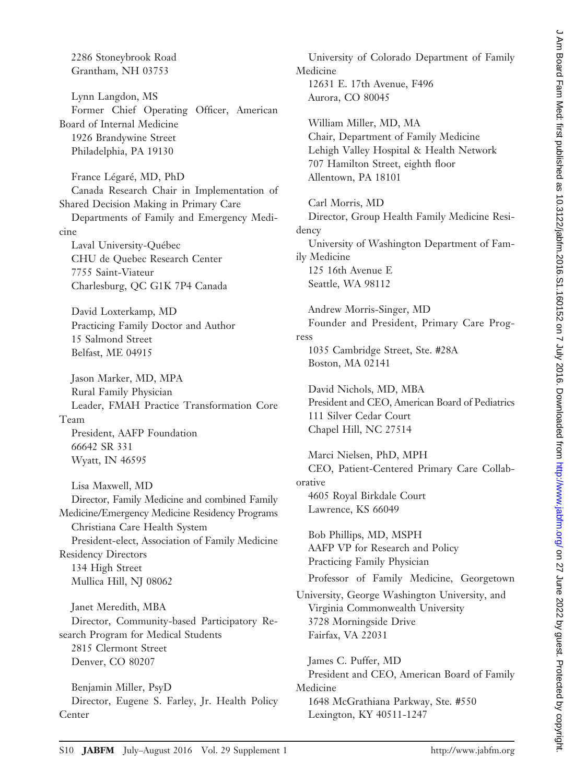2286 Stoneybrook Road Grantham, NH 03753

Lynn Langdon, MS Former Chief Operating Officer, American Board of Internal Medicine 1926 Brandywine Street Philadelphia, PA 19130

France Légaré, MD, PhD Canada Research Chair in Implementation of Shared Decision Making in Primary Care Departments of Family and Emergency Medicine Laval University-Québec CHU de Quebec Research Center 7755 Saint-Viateur Charlesburg, QC G1K 7P4 Canada

David Loxterkamp, MD Practicing Family Doctor and Author 15 Salmond Street Belfast, ME 04915

Jason Marker, MD, MPA Rural Family Physician Leader, FMAH Practice Transformation Core Team President, AAFP Foundation 66642 SR 331 Wyatt, IN 46595

Lisa Maxwell, MD Director, Family Medicine and combined Family Medicine/Emergency Medicine Residency Programs Christiana Care Health System President-elect, Association of Family Medicine Residency Directors 134 High Street Mullica Hill, NJ 08062

Janet Meredith, MBA Director, Community-based Participatory Research Program for Medical Students 2815 Clermont Street Denver, CO 80207

Benjamin Miller, PsyD Director, Eugene S. Farley, Jr. Health Policy Center

University of Colorado Department of Family Medicine 12631 E. 17th Avenue, F496 Aurora, CO 80045 William Miller, MD, MA Chair, Department of Family Medicine Lehigh Valley Hospital & Health Network 707 Hamilton Street, eighth floor Allentown, PA 18101 Carl Morris, MD Director, Group Health Family Medicine Residency University of Washington Department of Family Medicine 125 16th Avenue E Seattle, WA 98112 Andrew Morris-Singer, MD Founder and President, Primary Care Progress 1035 Cambridge Street, Ste. #28A Boston, MA 02141 David Nichols, MD, MBA President and CEO, American Board of Pediatrics 111 Silver Cedar Court Chapel Hill, NC 27514 Marci Nielsen, PhD, MPH CEO, Patient-Centered Primary Care Collaborative 4605 Royal Birkdale Court Lawrence, KS 66049 Bob Phillips, MD, MSPH AAFP VP for Research and Policy Practicing Family Physician Professor of Family Medicine, Georgetown University, George Washington University, and Virginia Commonwealth University 3728 Morningside Drive Fairfax, VA 22031 James C. Puffer, MD President and CEO, American Board of Family Medicine 1648 McGrathiana Parkway, Ste. #550

Lexington, KY 40511-1247